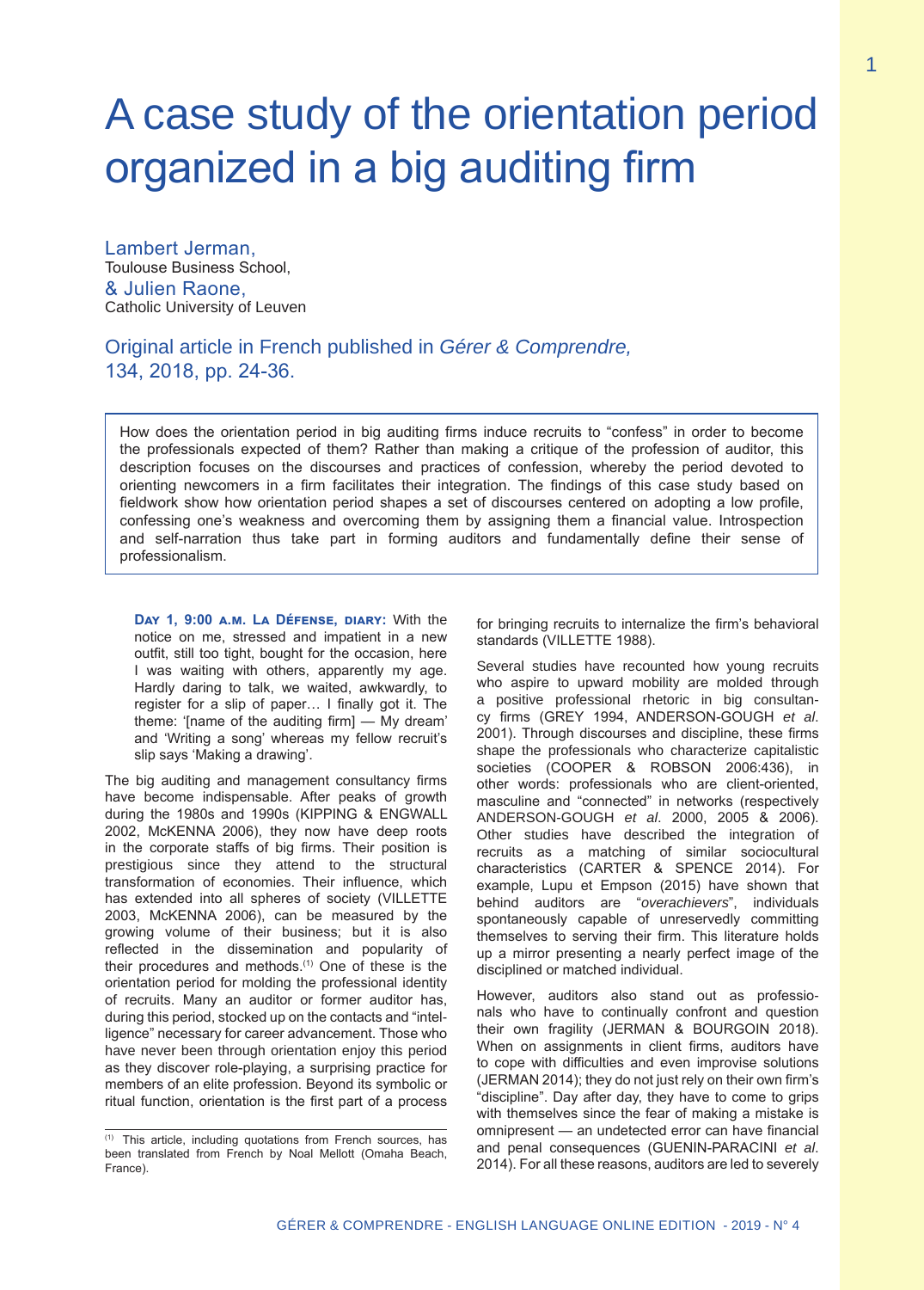# A case study of the orientation period organized in a big auditing firm

Lambert Jerman, Toulouse Business School, & Julien Raone, Catholic University of Leuven

Original article in French published in *Gérer & Comprendre,* 134, 2018, pp. 24-36.

How does the orientation period in big auditing firms induce recruits to "confess" in order to become the professionals expected of them? Rather than making a critique of the profession of auditor, this description focuses on the discourses and practices of confession, whereby the period devoted to orienting newcomers in a firm facilitates their integration. The findings of this case study based on fieldwork show how orientation period shapes a set of discourses centered on adopting a low profile, confessing one's weakness and overcoming them by assigning them a financial value. Introspection and self-narration thus take part in forming auditors and fundamentally define their sense of professionalism.

**Day 1, 9:00 a.m. La Défense, diary:** With the notice on me, stressed and impatient in a new outfit, still too tight, bought for the occasion, here I was waiting with others, apparently my age. Hardly daring to talk, we waited, awkwardly, to register for a slip of paper… I finally got it. The theme: '[name of the auditing firm] — My dream' and 'Writing a song' whereas my fellow recruit's slip says 'Making a drawing'.

The big auditing and management consultancy firms have become indispensable. After peaks of growth during the 1980s and 1990s (KIPPING & ENGWALL 2002, McKENNA 2006), they now have deep roots in the corporate staffs of big firms. Their position is prestigious since they attend to the structural transformation of economies. Their influence, which has extended into all spheres of society (VILLETTE 2003, McKENNA 2006), can be measured by the growing volume of their business; but it is also reflected in the dissemination and popularity of their procedures and methods.(1) One of these is the orientation period for molding the professional identity of recruits. Many an auditor or former auditor has, during this period, stocked up on the contacts and "intelligence" necessary for career advancement. Those who have never been through orientation enjoy this period as they discover role-playing, a surprising practice for members of an elite profession. Beyond its symbolic or ritual function, orientation is the first part of a process

for bringing recruits to internalize the firm's behavioral standards (VILLETTE 1988).

Several studies have recounted how young recruits who aspire to upward mobility are molded through a positive professional rhetoric in big consultancy firms (GREY 1994, ANDERSON-GOUGH *et al*. 2001). Through discourses and discipline, these firms shape the professionals who characterize capitalistic societies (COOPER & ROBSON 2006:436), in other words: professionals who are client-oriented, masculine and "connected" in networks (respectively ANDERSON-GOUGH *et al*. 2000, 2005 & 2006). Other studies have described the integration of recruits as a matching of similar sociocultural characteristics (CARTER & SPENCE 2014). For example, Lupu et Empson (2015) have shown that behind auditors are "*overachievers*", individuals spontaneously capable of unreservedly committing themselves to serving their firm. This literature holds up a mirror presenting a nearly perfect image of the disciplined or matched individual.

However, auditors also stand out as professionals who have to continually confront and question their own fragility (JERMAN & BOURGOIN 2018). When on assignments in client firms, auditors have to cope with difficulties and even improvise solutions (JERMAN 2014); they do not just rely on their own firm's "discipline". Day after day, they have to come to grips with themselves since the fear of making a mistake is omnipresent — an undetected error can have financial and penal consequences (GUENIN-PARACINI *et al*. 2014). For all these reasons, auditors are led to severely

<sup>(1)</sup> This article, including quotations from French sources, has been translated from French by Noal Mellott (Omaha Beach, France).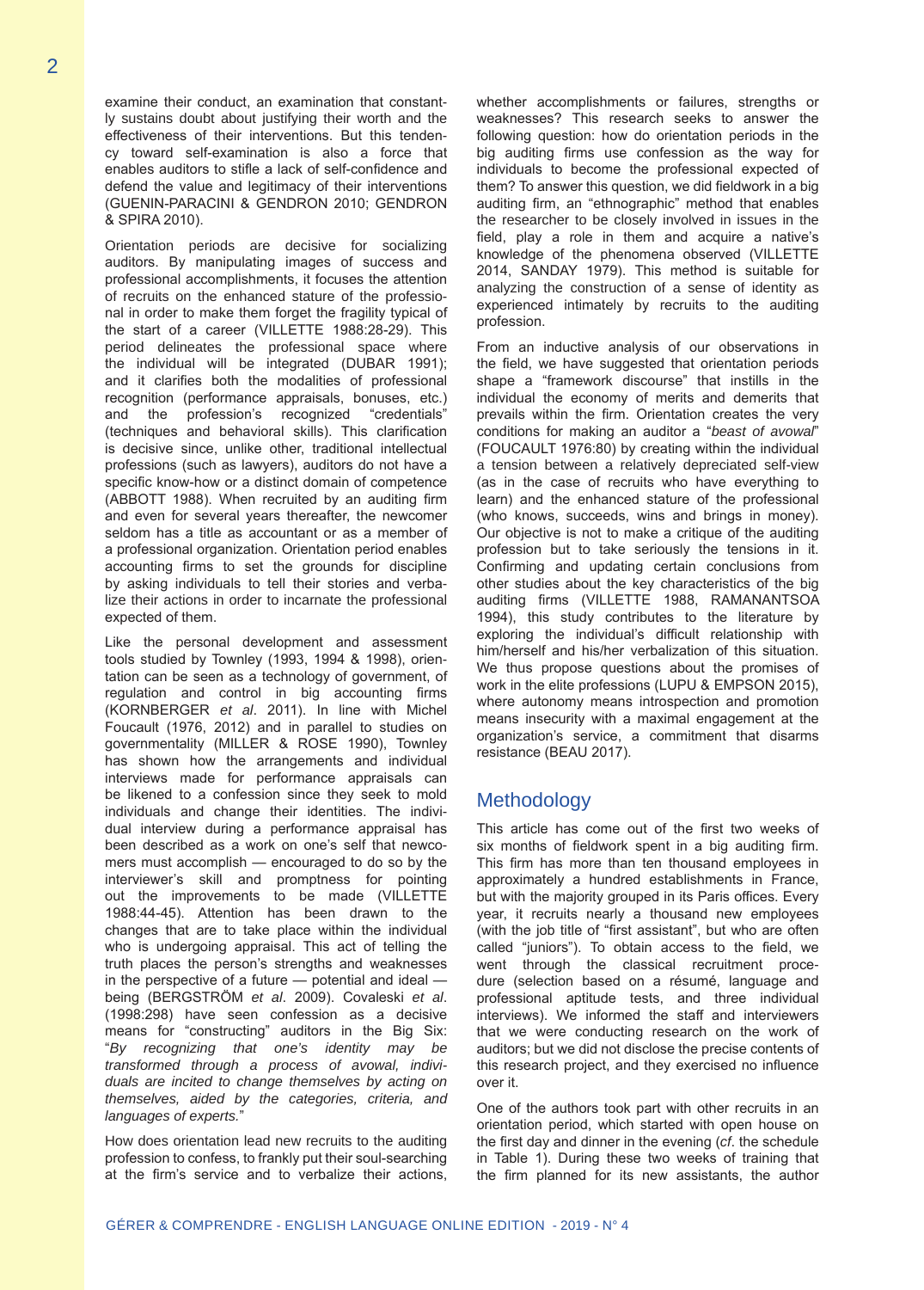examine their conduct, an examination that constantly sustains doubt about justifying their worth and the effectiveness of their interventions. But this tendency toward self-examination is also a force that enables auditors to stifle a lack of self-confidence and defend the value and legitimacy of their interventions (GUENIN-PARACINI & GENDRON 2010; GENDRON & SPIRA 2010).

Orientation periods are decisive for socializing auditors. By manipulating images of success and professional accomplishments, it focuses the attention of recruits on the enhanced stature of the professional in order to make them forget the fragility typical of the start of a career (VILLETTE 1988:28-29). This period delineates the professional space where the individual will be integrated (DUBAR 1991); and it clarifies both the modalities of professional recognition (performance appraisals, bonuses, etc.) and the profession's recognized "credentials" (techniques and behavioral skills). This clarification is decisive since, unlike other, traditional intellectual professions (such as lawyers), auditors do not have a specific know-how or a distinct domain of competence (ABBOTT 1988). When recruited by an auditing firm and even for several years thereafter, the newcomer seldom has a title as accountant or as a member of a professional organization. Orientation period enables accounting firms to set the grounds for discipline by asking individuals to tell their stories and verbalize their actions in order to incarnate the professional expected of them.

Like the personal development and assessment tools studied by Townley (1993, 1994 & 1998), orientation can be seen as a technology of government, of regulation and control in big accounting firms (KORNBERGER *et al*. 2011). In line with Michel Foucault (1976, 2012) and in parallel to studies on governmentality (MILLER & ROSE 1990), Townley has shown how the arrangements and individual interviews made for performance appraisals can be likened to a confession since they seek to mold individuals and change their identities. The individual interview during a performance appraisal has been described as a work on one's self that newcomers must accomplish — encouraged to do so by the interviewer's skill and promptness for pointing out the improvements to be made (VILLETTE 1988:44-45). Attention has been drawn to the changes that are to take place within the individual who is undergoing appraisal. This act of telling the truth places the person's strengths and weaknesses in the perspective of a future — potential and ideal being (BERGSTRÖM *et al*. 2009). Covaleski *et al*. (1998:298) have seen confession as a decisive means for "constructing" auditors in the Big Six: "*By recognizing that one's identity may be transformed through a process of avowal, individuals are incited to change themselves by acting on themselves, aided by the categories, criteria, and languages of experts.*"

How does orientation lead new recruits to the auditing profession to confess, to frankly put their soul-searching at the firm's service and to verbalize their actions,

whether accomplishments or failures, strengths or weaknesses? This research seeks to answer the following question: how do orientation periods in the big auditing firms use confession as the way for individuals to become the professional expected of them? To answer this question, we did fieldwork in a big auditing firm, an "ethnographic" method that enables the researcher to be closely involved in issues in the field, play a role in them and acquire a native's knowledge of the phenomena observed (VILLETTE 2014, SANDAY 1979). This method is suitable for analyzing the construction of a sense of identity as experienced intimately by recruits to the auditing profession.

From an inductive analysis of our observations in the field, we have suggested that orientation periods shape a "framework discourse" that instills in the individual the economy of merits and demerits that prevails within the firm. Orientation creates the very conditions for making an auditor a "*beast of avowal*" (FOUCAULT 1976:80) by creating within the individual a tension between a relatively depreciated self-view (as in the case of recruits who have everything to learn) and the enhanced stature of the professional (who knows, succeeds, wins and brings in money). Our objective is not to make a critique of the auditing profession but to take seriously the tensions in it. Confirming and updating certain conclusions from other studies about the key characteristics of the big auditing firms (VILLETTE 1988, RAMANANTSOA 1994), this study contributes to the literature by exploring the individual's difficult relationship with him/herself and his/her verbalization of this situation. We thus propose questions about the promises of work in the elite professions (LUPU & EMPSON 2015), where autonomy means introspection and promotion means insecurity with a maximal engagement at the organization's service, a commitment that disarms resistance (BEAU 2017).

#### Methodology

This article has come out of the first two weeks of six months of fieldwork spent in a big auditing firm. This firm has more than ten thousand employees in approximately a hundred establishments in France, but with the majority grouped in its Paris offices. Every year, it recruits nearly a thousand new employees (with the job title of "first assistant", but who are often called "juniors"). To obtain access to the field, we went through the classical recruitment procedure (selection based on a résumé, language and professional aptitude tests, and three individual interviews). We informed the staff and interviewers that we were conducting research on the work of auditors; but we did not disclose the precise contents of this research project, and they exercised no influence over it.

One of the authors took part with other recruits in an orientation period, which started with open house on the first day and dinner in the evening (*cf*. the schedule in Table 1). During these two weeks of training that the firm planned for its new assistants, the author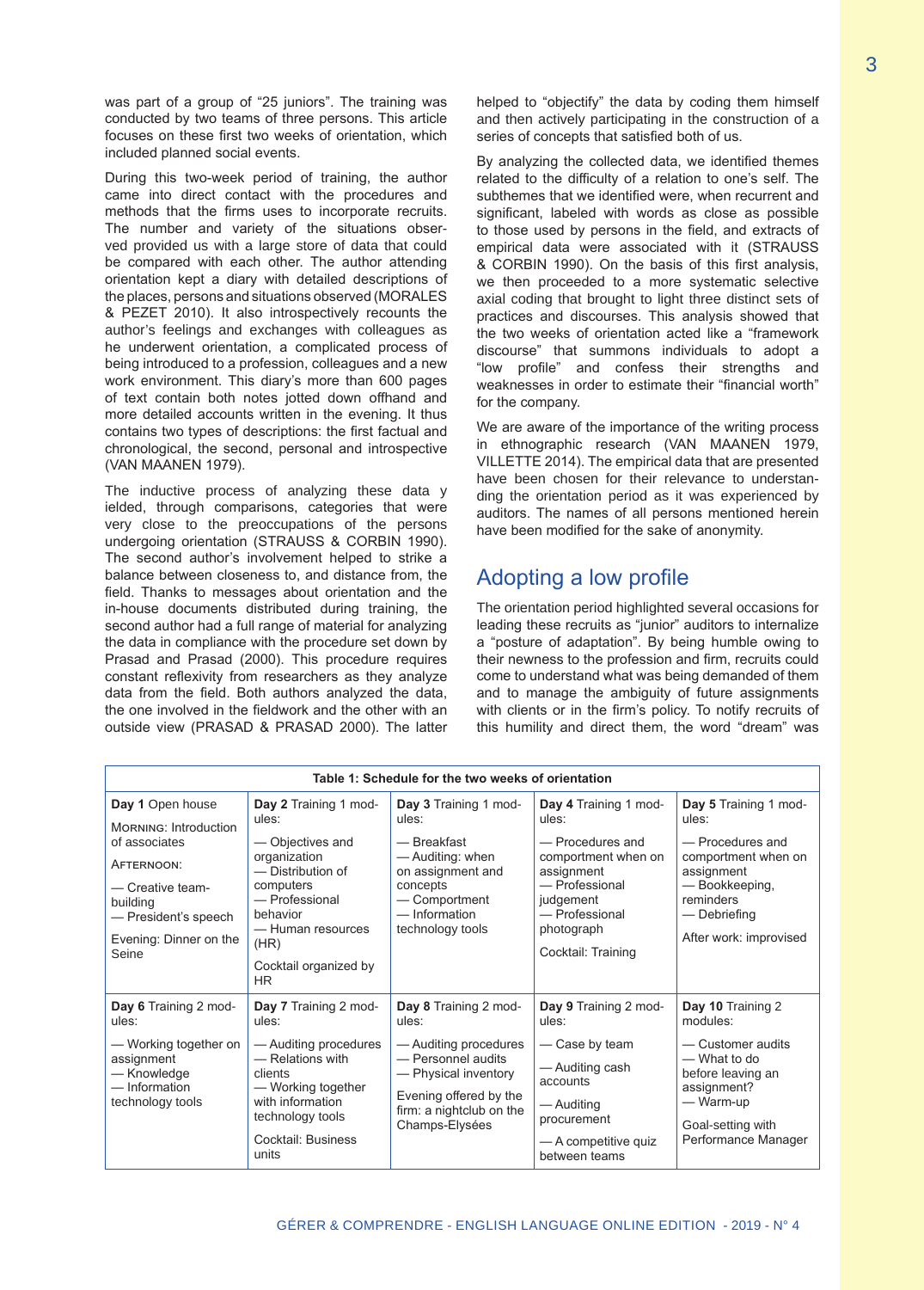was part of a group of "25 juniors". The training was conducted by two teams of three persons. This article focuses on these first two weeks of orientation, which included planned social events.

During this two-week period of training, the author came into direct contact with the procedures and methods that the firms uses to incorporate recruits. The number and variety of the situations observed provided us with a large store of data that could be compared with each other. The author attending orientation kept a diary with detailed descriptions of the places, persons and situations observed (MORALES & PEZET 2010). It also introspectively recounts the author's feelings and exchanges with colleagues as he underwent orientation, a complicated process of being introduced to a profession, colleagues and a new work environment. This diary's more than 600 pages of text contain both notes jotted down offhand and more detailed accounts written in the evening. It thus contains two types of descriptions: the first factual and chronological, the second, personal and introspective (VAN MAANEN 1979).

The inductive process of analyzing these data y ielded, through comparisons, categories that were very close to the preoccupations of the persons undergoing orientation (STRAUSS & CORBIN 1990). The second author's involvement helped to strike a balance between closeness to, and distance from, the field. Thanks to messages about orientation and the in-house documents distributed during training, the second author had a full range of material for analyzing the data in compliance with the procedure set down by Prasad and Prasad (2000). This procedure requires constant reflexivity from researchers as they analyze data from the field. Both authors analyzed the data, the one involved in the fieldwork and the other with an outside view (PRASAD & PRASAD 2000). The latter

helped to "objectify" the data by coding them himself and then actively participating in the construction of a series of concepts that satisfied both of us.

By analyzing the collected data, we identified themes related to the difficulty of a relation to one's self. The subthemes that we identified were, when recurrent and significant, labeled with words as close as possible to those used by persons in the field, and extracts of empirical data were associated with it (STRAUSS & CORBIN 1990). On the basis of this first analysis, we then proceeded to a more systematic selective axial coding that brought to light three distinct sets of practices and discourses. This analysis showed that the two weeks of orientation acted like a "framework discourse" that summons individuals to adopt a "low profile" and confess their strengths and weaknesses in order to estimate their "financial worth" for the company.

We are aware of the importance of the writing process in ethnographic research (VAN MAANEN 1979, VILLETTE 2014). The empirical data that are presented have been chosen for their relevance to understanding the orientation period as it was experienced by auditors. The names of all persons mentioned herein have been modified for the sake of anonymity.

# Adopting a low profile

The orientation period highlighted several occasions for leading these recruits as "junior" auditors to internalize a "posture of adaptation". By being humble owing to their newness to the profession and firm, recruits could come to understand what was being demanded of them and to manage the ambiguity of future assignments with clients or in the firm's policy. To notify recruits of this humility and direct them, the word "dream" was

| Table 1: Schedule for the two weeks of orientation                                                                        |                                                                                                                                                                                     |                                                                                                                                                                               |                                                                                                                                                       |                                                                                                                                                                  |  |  |  |  |
|---------------------------------------------------------------------------------------------------------------------------|-------------------------------------------------------------------------------------------------------------------------------------------------------------------------------------|-------------------------------------------------------------------------------------------------------------------------------------------------------------------------------|-------------------------------------------------------------------------------------------------------------------------------------------------------|------------------------------------------------------------------------------------------------------------------------------------------------------------------|--|--|--|--|
| Day 1 Open house<br><b>MORNING: Introduction</b>                                                                          | Day 2 Training 1 mod-<br>ules:                                                                                                                                                      | Day 3 Training 1 mod-<br>ules:                                                                                                                                                | Day 4 Training 1 mod-<br>ules:                                                                                                                        | Day 5 Training 1 mod-<br>ules:<br>- Procedures and<br>comportment when on<br>assignment<br>- Bookkeeping,<br>reminders<br>— Debriefing<br>After work: improvised |  |  |  |  |
| of associates<br>AFTERNOON:<br>- Creative team-<br>building<br>- President's speech<br>Evening: Dinner on the<br>Seine    | - Objectives and<br>organization<br>- Distribution of<br>computers<br>- Professional<br>behavior<br>- Human resources<br>(HR)<br>Cocktail organized by<br>HR.                       | — Breakfast<br>— Auditing: when<br>on assignment and<br>concepts<br>- Comportment<br>- Information<br>technology tools                                                        | - Procedures and<br>comportment when on<br>assignment<br>- Professional<br>judgement<br>- Professional<br>photograph<br>Cocktail: Training            |                                                                                                                                                                  |  |  |  |  |
| Day 6 Training 2 mod-<br>ules:<br>— Working together on<br>assignment<br>- Knowledge<br>- Information<br>technology tools | Day 7 Training 2 mod-<br>ules:<br>- Auditing procedures<br>- Relations with<br>clients<br>— Working together<br>with information<br>technology tools<br>Cocktail: Business<br>units | Day 8 Training 2 mod-<br>ules:<br>- Auditing procedures<br>- Personnel audits<br>- Physical inventory<br>Evening offered by the<br>firm: a nightclub on the<br>Champs-Elysées | Day 9 Training 2 mod-<br>ules:<br>- Case by team<br>— Auditing cash<br>accounts<br>— Auditing<br>procurement<br>— A competitive quiz<br>between teams | Day 10 Training 2<br>modules:<br>- Customer audits<br>— What to do<br>before leaving an<br>assignment?<br>— Warm-up<br>Goal-setting with<br>Performance Manager  |  |  |  |  |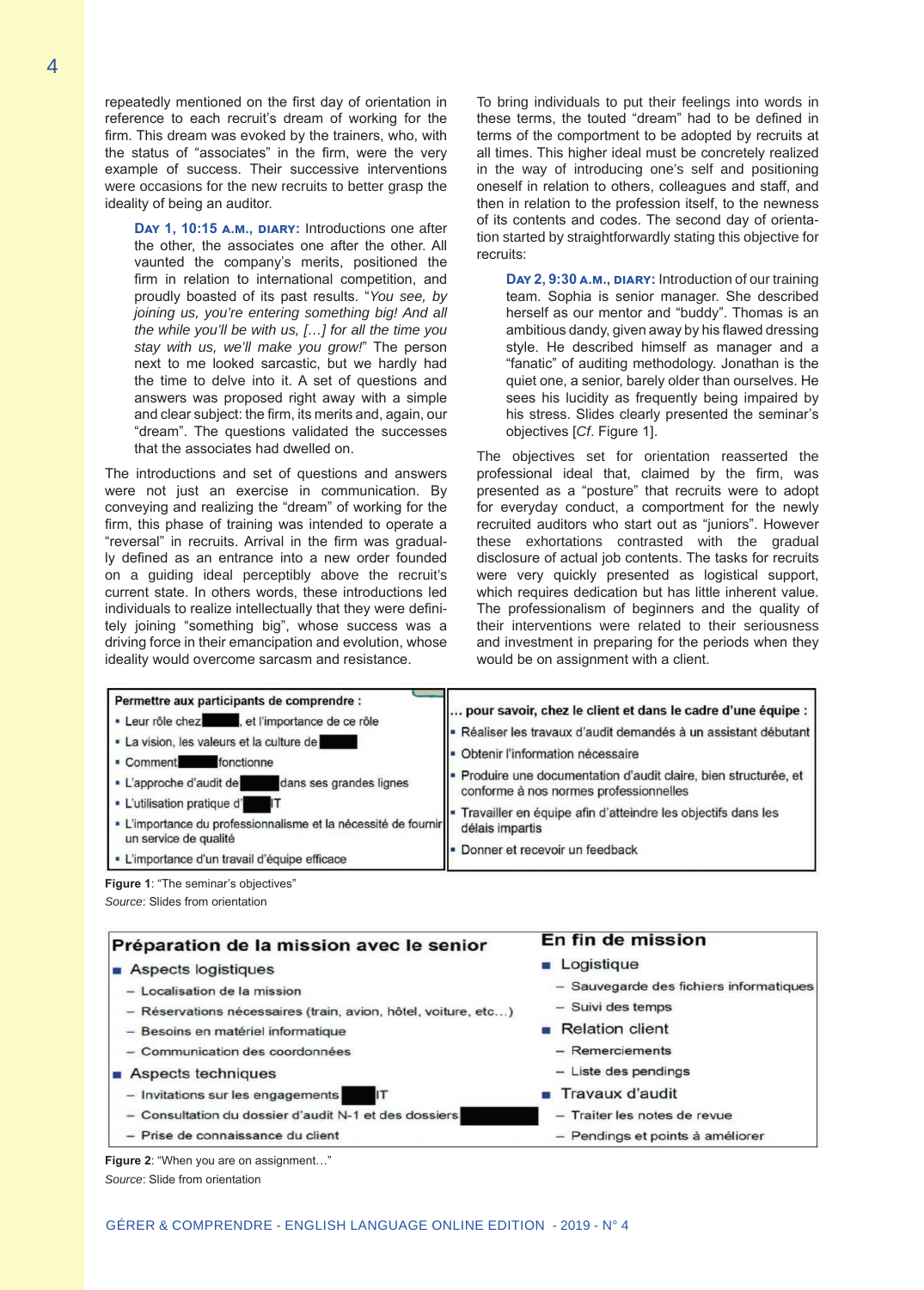repeatedly mentioned on the first day of orientation in reference to each recruit's dream of working for the firm. This dream was evoked by the trainers, who, with the status of "associates" in the firm, were the very example of success. Their successive interventions were occasions for the new recruits to better grasp the ideality of being an auditor.

**Day 1, 10:15 a.m., diary:** Introductions one after the other, the associates one after the other. All vaunted the company's merits, positioned the firm in relation to international competition, and proudly boasted of its past results. "*You see, by joining us, you're entering something big! And all the while you'll be with us, […] for all the time you stay with us, we'll make you grow!*" The person next to me looked sarcastic, but we hardly had the time to delve into it. A set of questions and answers was proposed right away with a simple and clear subject: the firm, its merits and, again, our "dream". The questions validated the successes that the associates had dwelled on.

The introductions and set of questions and answers were not just an exercise in communication. By conveying and realizing the "dream" of working for the firm, this phase of training was intended to operate a "reversal" in recruits. Arrival in the firm was gradually defined as an entrance into a new order founded on a guiding ideal perceptibly above the recruit's current state. In others words, these introductions led individuals to realize intellectually that they were definitely joining "something big", whose success was a driving force in their emancipation and evolution, whose ideality would overcome sarcasm and resistance.

To bring individuals to put their feelings into words in these terms, the touted "dream" had to be defined in terms of the comportment to be adopted by recruits at all times. This higher ideal must be concretely realized in the way of introducing one's self and positioning oneself in relation to others, colleagues and staff, and then in relation to the profession itself, to the newness of its contents and codes. The second day of orientation started by straightforwardly stating this objective for recruits:

**Day 2, 9:30 a.m., diary:** Introduction of our training team. Sophia is senior manager. She described herself as our mentor and "buddy". Thomas is an ambitious dandy, given away by his flawed dressing style. He described himself as manager and a "fanatic" of auditing methodology. Jonathan is the quiet one, a senior, barely older than ourselves. He sees his lucidity as frequently being impaired by his stress. Slides clearly presented the seminar's objectives [*Cf*. Figure 1].

The objectives set for orientation reasserted the professional ideal that, claimed by the firm, was presented as a "posture" that recruits were to adopt for everyday conduct, a comportment for the newly recruited auditors who start out as "juniors". However these exhortations contrasted with the gradual disclosure of actual job contents. The tasks for recruits were very quickly presented as logistical support, which requires dedication but has little inherent value. The professionalism of beginners and the quality of their interventions were related to their seriousness and investment in preparing for the periods when they would be on assignment with a client.

| Permettre aux participants de comprendre :<br>· Leur rôle chez , et l'importance de ce rôle<br>· La vision, les valeurs et la culture de<br>fonctionne<br>• Comment<br>• L'approche d'audit de dans ses grandes lignes<br>• L'utilisation pratique d' IT<br>- L'importance du professionnalisme et la nécessité de fournir<br>un service de qualité<br>· L'importance d'un travail d'équipe efficace | pour savoir, chez le client et dans le cadre d'une équipe :<br>- Réaliser les travaux d'audit demandés à un assistant débutant<br>Obtenir l'information nécessaire<br>Produire une documentation d'audit claire, bien structurée, et<br>conforme à nos normes professionnelles<br>Travailler en équipe afin d'atteindre les objectifs dans les<br>délais impartis<br>Donner et recevoir un feedback |
|------------------------------------------------------------------------------------------------------------------------------------------------------------------------------------------------------------------------------------------------------------------------------------------------------------------------------------------------------------------------------------------------------|-----------------------------------------------------------------------------------------------------------------------------------------------------------------------------------------------------------------------------------------------------------------------------------------------------------------------------------------------------------------------------------------------------|
|------------------------------------------------------------------------------------------------------------------------------------------------------------------------------------------------------------------------------------------------------------------------------------------------------------------------------------------------------------------------------------------------------|-----------------------------------------------------------------------------------------------------------------------------------------------------------------------------------------------------------------------------------------------------------------------------------------------------------------------------------------------------------------------------------------------------|

**Figure 1**: "The seminar's objectives" *Source*: Slides from orientation

| Préparation de la mission avec le senior                       | En fin de mission                       |
|----------------------------------------------------------------|-----------------------------------------|
| Aspects logistiques                                            | <b>Logistique</b>                       |
| - Localisation de la mission                                   | - Sauvegarde des fichiers informatiques |
| - Réservations nécessaires (train, avion, hôtel, voiture, etc) | - Suivi des temps                       |
| - Besoins en matériel informatique                             | $\blacksquare$ Relation client          |
| - Communication des coordonnées                                | - Remerciements                         |
| Aspects techniques                                             | $-$ Liste des pendings                  |
| - Invitations sur les engagements                              | $\blacksquare$ Travaux d'audit          |
| - Consultation du dossier d'audit N-1 et des dossiers          | - Traiter les notes de revue            |
| - Prise de connaissance du client                              | - Pendings et points à améliorer        |

**Figure 2**: "When you are on assignment…" *Source*: Slide from orientation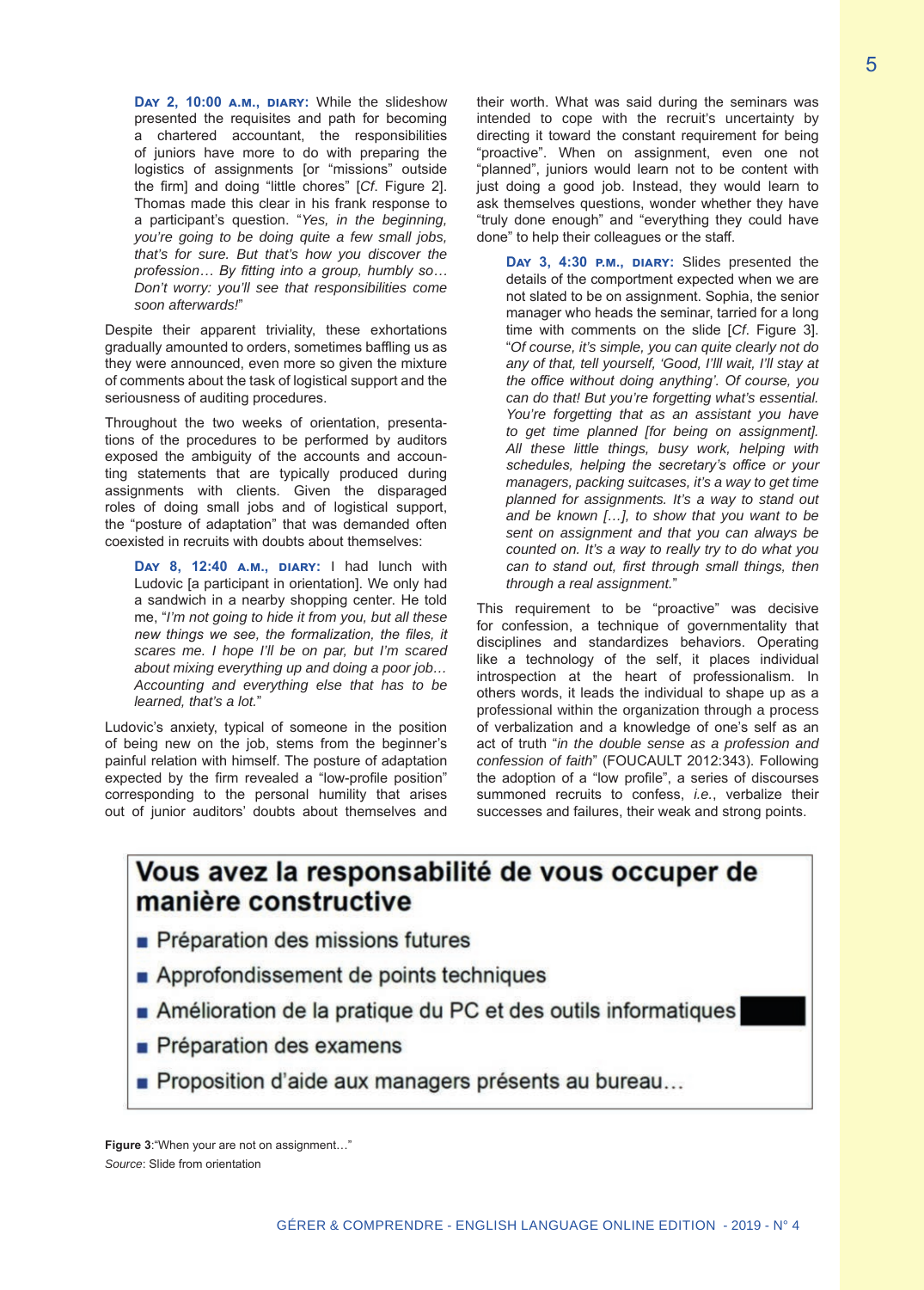**Day 2, 10:00 a.m., diary:** While the slideshow presented the requisites and path for becoming a chartered accountant, the responsibilities of juniors have more to do with preparing the logistics of assignments [or "missions" outside the firm] and doing "little chores" [*Cf*. Figure 2]. Thomas made this clear in his frank response to a participant's question. "*Yes, in the beginning, you're going to be doing quite a few small jobs, that's for sure. But that's how you discover the profession… By fitting into a group, humbly so… Don't worry: you'll see that responsibilities come soon afterwards!*"

Despite their apparent triviality, these exhortations gradually amounted to orders, sometimes baffling us as they were announced, even more so given the mixture of comments about the task of logistical support and the seriousness of auditing procedures.

Throughout the two weeks of orientation, presentations of the procedures to be performed by auditors exposed the ambiguity of the accounts and accounting statements that are typically produced during assignments with clients. Given the disparaged roles of doing small jobs and of logistical support, the "posture of adaptation" that was demanded often coexisted in recruits with doubts about themselves:

**Day 8, 12:40 a.m., diary:** I had lunch with Ludovic [a participant in orientation]. We only had a sandwich in a nearby shopping center. He told me, "*I'm not going to hide it from you, but all these new things we see, the formalization, the files, it scares me. I hope I'll be on par, but I'm scared about mixing everything up and doing a poor job… Accounting and everything else that has to be learned, that's a lot.*"

Ludovic's anxiety, typical of someone in the position of being new on the job, stems from the beginner's painful relation with himself. The posture of adaptation expected by the firm revealed a "low-profile position" corresponding to the personal humility that arises out of junior auditors' doubts about themselves and

their worth. What was said during the seminars was intended to cope with the recruit's uncertainty by directing it toward the constant requirement for being "proactive". When on assignment, even one not "planned", juniors would learn not to be content with just doing a good job. Instead, they would learn to ask themselves questions, wonder whether they have "truly done enough" and "everything they could have done" to help their colleagues or the staff.

**Day 3, 4:30 p.m., diary:** Slides presented the details of the comportment expected when we are not slated to be on assignment. Sophia, the senior manager who heads the seminar, tarried for a long time with comments on the slide [*Cf*. Figure 3]. "*Of course, it's simple, you can quite clearly not do any of that, tell yourself, 'Good, I'lll wait, I'll stay at the office without doing anything'. Of course, you can do that! But you're forgetting what's essential. You're forgetting that as an assistant you have to get time planned [for being on assignment]. All these little things, busy work, helping with schedules, helping the secretary's office or your managers, packing suitcases, it's a way to get time planned for assignments. It's a way to stand out and be known […], to show that you want to be sent on assignment and that you can always be counted on. It's a way to really try to do what you can to stand out, first through small things, then through a real assignment.*"

This requirement to be "proactive" was decisive for confession, a technique of governmentality that disciplines and standardizes behaviors. Operating like a technology of the self, it places individual introspection at the heart of professionalism. In others words, it leads the individual to shape up as a professional within the organization through a process of verbalization and a knowledge of one's self as an act of truth "*in the double sense as a profession and confession of faith*" (FOUCAULT 2012:343). Following the adoption of a "low profile", a series of discourses summoned recruits to confess, *i.e.*, verbalize their successes and failures, their weak and strong points.

# Vous avez la responsabilité de vous occuper de manière constructive

- Préparation des missions futures
- Approfondissement de points techniques
- Amélioration de la pratique du PC et des outils informatiques
- $\blacksquare$  Préparation des examens
- Proposition d'aide aux managers présents au bureau...

**Figure 3**:"When your are not on assignment…" *Source*: Slide from orientation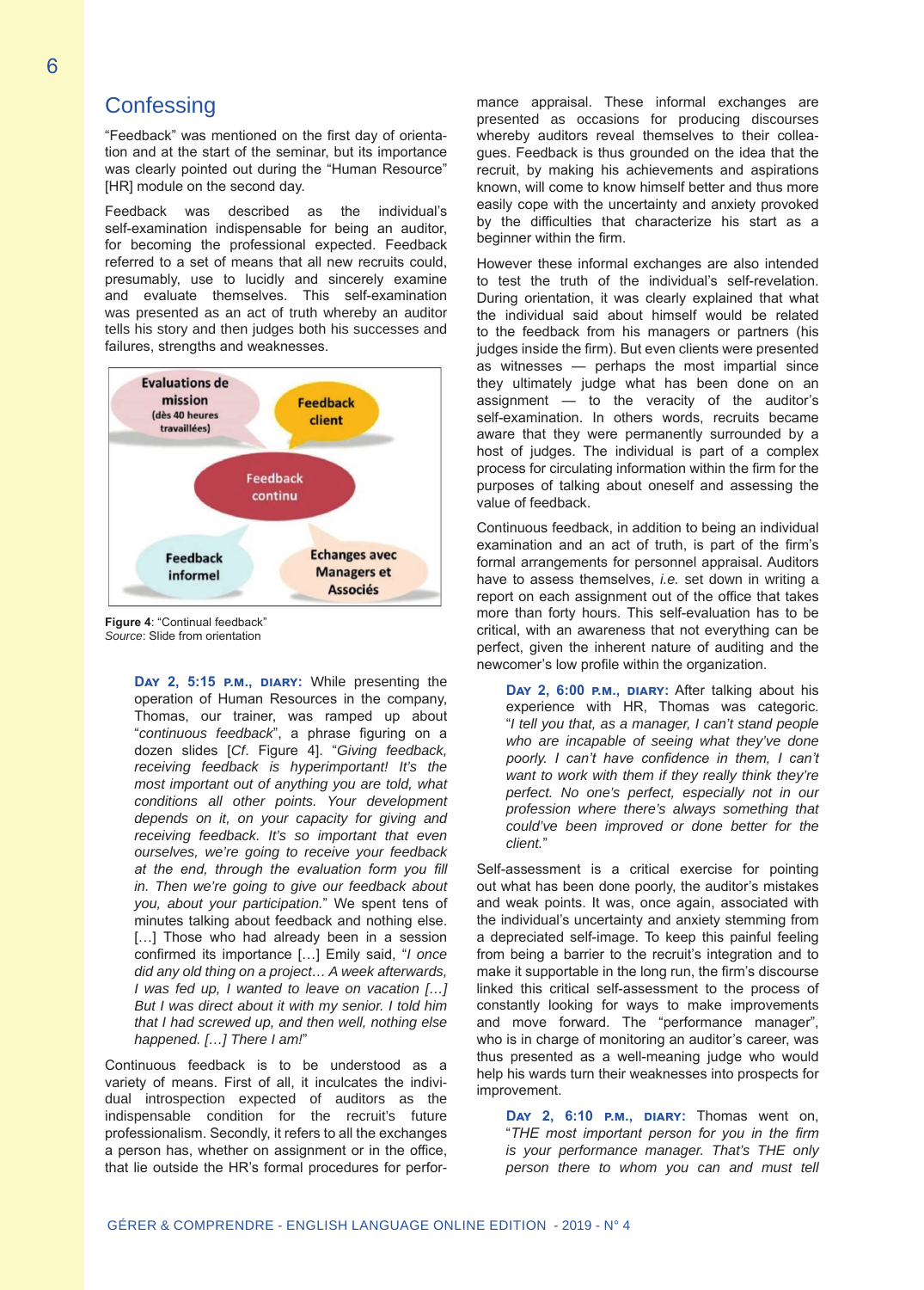## **Confessing**

"Feedback" was mentioned on the first day of orientation and at the start of the seminar, but its importance was clearly pointed out during the "Human Resource" [HR] module on the second day.

Feedback was described as the individual's self-examination indispensable for being an auditor, for becoming the professional expected. Feedback referred to a set of means that all new recruits could, presumably, use to lucidly and sincerely examine and evaluate themselves. This self-examination was presented as an act of truth whereby an auditor tells his story and then judges both his successes and failures, strengths and weaknesses.



**Figure 4**: "Continual feedback" *Source*: Slide from orientation

**Day 2, 5:15 p.m., diary:** While presenting the operation of Human Resources in the company, Thomas, our trainer, was ramped up about "*continuous feedback*", a phrase figuring on a dozen slides [*Cf*. Figure 4]. "*Giving feedback, receiving feedback is hyperimportant! It's the most important out of anything you are told, what conditions all other points. Your development depends on it, on your capacity for giving and receiving feedback. It's so important that even ourselves, we're going to receive your feedback at the end, through the evaluation form you fill in. Then we're going to give our feedback about you, about your participation.*" We spent tens of minutes talking about feedback and nothing else. [...] Those who had already been in a session confirmed its importance […] Emily said, "*I once did any old thing on a project… A week afterwards, I was fed up, I wanted to leave on vacation […] But I was direct about it with my senior. I told him that I had screwed up, and then well, nothing else happened. […] There I am!*"

Continuous feedback is to be understood as a variety of means. First of all, it inculcates the individual introspection expected of auditors as the indispensable condition for the recruit's future professionalism. Secondly, it refers to all the exchanges a person has, whether on assignment or in the office, that lie outside the HR's formal procedures for performance appraisal. These informal exchanges are presented as occasions for producing discourses whereby auditors reveal themselves to their colleagues. Feedback is thus grounded on the idea that the recruit, by making his achievements and aspirations known, will come to know himself better and thus more easily cope with the uncertainty and anxiety provoked by the difficulties that characterize his start as a beginner within the firm.

However these informal exchanges are also intended to test the truth of the individual's self-revelation. During orientation, it was clearly explained that what the individual said about himself would be related to the feedback from his managers or partners (his judges inside the firm). But even clients were presented as witnesses — perhaps the most impartial since they ultimately judge what has been done on an assignment — to the veracity of the auditor's self-examination. In others words, recruits became aware that they were permanently surrounded by a host of judges. The individual is part of a complex process for circulating information within the firm for the purposes of talking about oneself and assessing the value of feedback.

Continuous feedback, in addition to being an individual examination and an act of truth, is part of the firm's formal arrangements for personnel appraisal. Auditors have to assess themselves, *i.e.* set down in writing a report on each assignment out of the office that takes more than forty hours. This self-evaluation has to be critical, with an awareness that not everything can be perfect, given the inherent nature of auditing and the newcomer's low profile within the organization.

DAY 2, 6:00 P.M., DIARY: After talking about his experience with HR, Thomas was categoric. "*I tell you that, as a manager, I can't stand people who are incapable of seeing what they've done poorly. I can't have confidence in them, I can't want to work with them if they really think they're perfect. No one's perfect, especially not in our profession where there's always something that could've been improved or done better for the client.*"

Self-assessment is a critical exercise for pointing out what has been done poorly, the auditor's mistakes and weak points. It was, once again, associated with the individual's uncertainty and anxiety stemming from a depreciated self-image. To keep this painful feeling from being a barrier to the recruit's integration and to make it supportable in the long run, the firm's discourse linked this critical self-assessment to the process of constantly looking for ways to make improvements and move forward. The "performance manager", who is in charge of monitoring an auditor's career, was thus presented as a well-meaning judge who would help his wards turn their weaknesses into prospects for improvement.

**Day 2, 6:10 p.m., diary:** Thomas went on, "*THE most important person for you in the firm is your performance manager. That's THE only person there to whom you can and must tell*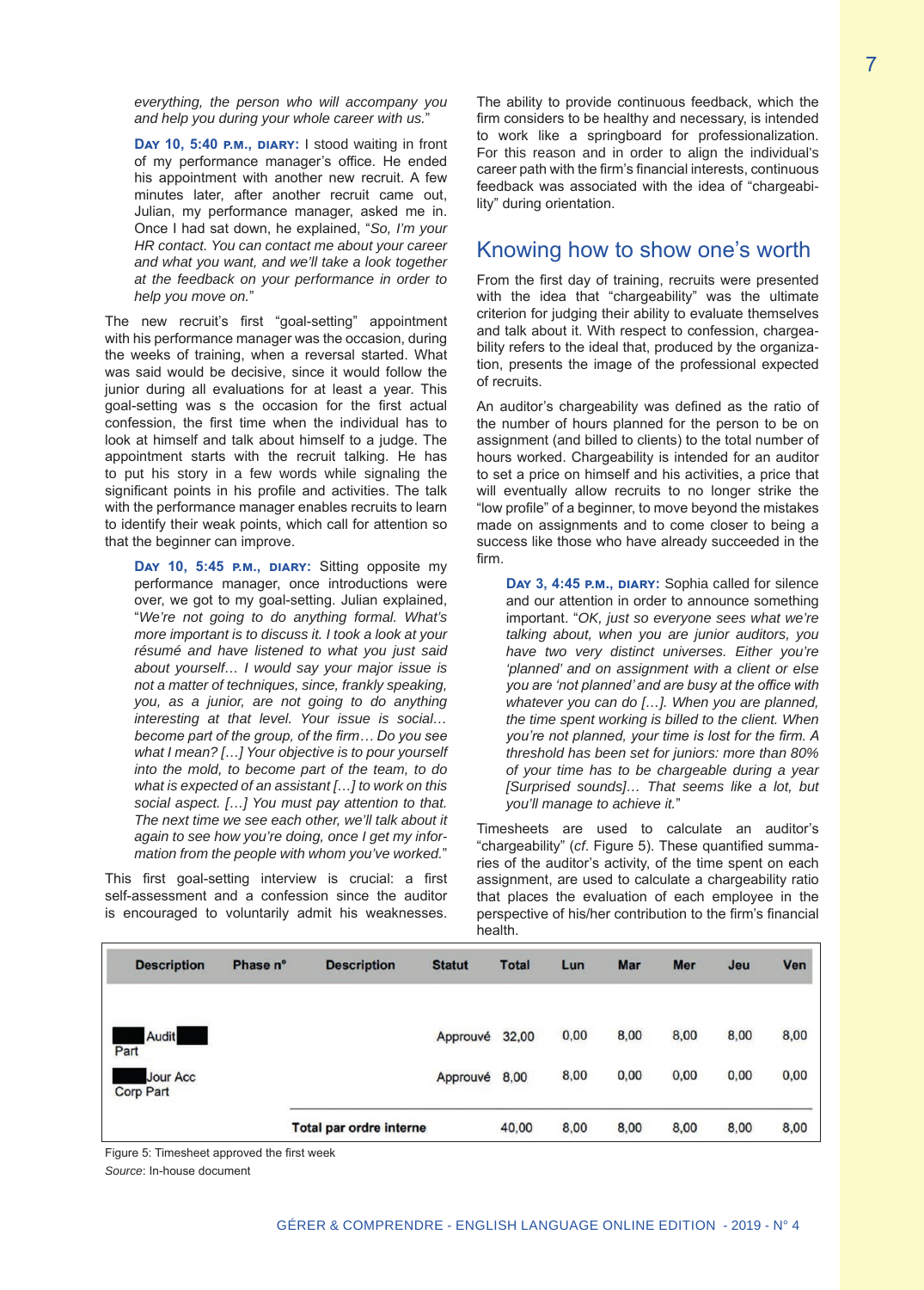*everything, the person who will accompany you and help you during your whole career with us.*"

Day 10, 5:40 P.M., DIARY: I stood waiting in front of my performance manager's office. He ended his appointment with another new recruit. A few minutes later, after another recruit came out, Julian, my performance manager, asked me in. Once I had sat down, he explained, "*So, I'm your HR contact. You can contact me about your career and what you want, and we'll take a look together at the feedback on your performance in order to help you move on.*"

The new recruit's first "goal-setting" appointment with his performance manager was the occasion, during the weeks of training, when a reversal started. What was said would be decisive, since it would follow the junior during all evaluations for at least a year. This goal-setting was s the occasion for the first actual confession, the first time when the individual has to look at himself and talk about himself to a judge. The appointment starts with the recruit talking. He has to put his story in a few words while signaling the significant points in his profile and activities. The talk with the performance manager enables recruits to learn to identify their weak points, which call for attention so that the beginner can improve.

**Day 10, 5:45 p.m., diary:** Sitting opposite my performance manager, once introductions were over, we got to my goal-setting. Julian explained, "*We're not going to do anything formal. What's more important is to discuss it. I took a look at your résumé and have listened to what you just said about yourself… I would say your major issue is not a matter of techniques, since, frankly speaking, you, as a junior, are not going to do anything interesting at that level. Your issue is social… become part of the group, of the firm… Do you see what I mean? […] Your objective is to pour yourself into the mold, to become part of the team, to do what is expected of an assistant […] to work on this social aspect. […] You must pay attention to that. The next time we see each other, we'll talk about it again to see how you're doing, once I get my information from the people with whom you've worked.*"

This first goal-setting interview is crucial: a first self-assessment and a confession since the auditor is encouraged to voluntarily admit his weaknesses.

The ability to provide continuous feedback, which the firm considers to be healthy and necessary, is intended to work like a springboard for professionalization. For this reason and in order to align the individual's career path with the firm's financial interests, continuous feedback was associated with the idea of "chargeability" during orientation.

## Knowing how to show one's worth

From the first day of training, recruits were presented with the idea that "chargeability" was the ultimate criterion for judging their ability to evaluate themselves and talk about it. With respect to confession, chargeability refers to the ideal that, produced by the organization, presents the image of the professional expected of recruits.

An auditor's chargeability was defined as the ratio of the number of hours planned for the person to be on assignment (and billed to clients) to the total number of hours worked. Chargeability is intended for an auditor to set a price on himself and his activities, a price that will eventually allow recruits to no longer strike the "low profile" of a beginner, to move beyond the mistakes made on assignments and to come closer to being a success like those who have already succeeded in the firm.

**Day 3, 4:45 p.m., diary:** Sophia called for silence and our attention in order to announce something important. "*OK, just so everyone sees what we're talking about, when you are junior auditors, you have two very distinct universes. Either you're 'planned' and on assignment with a client or else you are 'not planned' and are busy at the office with whatever you can do […]. When you are planned, the time spent working is billed to the client. When you're not planned, your time is lost for the firm. A threshold has been set for juniors: more than 80% of your time has to be chargeable during a year [Surprised sounds]… That seems like a lot, but you'll manage to achieve it.*"

Timesheets are used to calculate an auditor's "chargeability" (*cf*. Figure 5). These quantified summaries of the auditor's activity, of the time spent on each assignment, are used to calculate a chargeability ratio that places the evaluation of each employee in the perspective of his/her contribution to the firm's financial health.

| <b>Description</b>                  | Phase n° | <b>Description</b>             | <b>Statut</b> | <b>Total</b> | Lun  | <b>Mar</b> | <b>Mer</b> | Jeu  | Ven  |
|-------------------------------------|----------|--------------------------------|---------------|--------------|------|------------|------------|------|------|
| Audit<br>Part                       |          |                                | Approuvé      | 32,00        | 0,00 | 8,00       | 8,00       | 8,00 | 8,00 |
| <b>Jour Acc</b><br><b>Corp Part</b> |          |                                | Approuvé      | 8,00         | 8,00 | 0,00       | 0.00       | 0,00 | 0,00 |
|                                     |          | <b>Total par ordre interne</b> |               | 40,00        | 8,00 | 8,00       | 8.00       | 8,00 | 8,00 |

Figure 5: Timesheet approved the first week *Source*: In-house document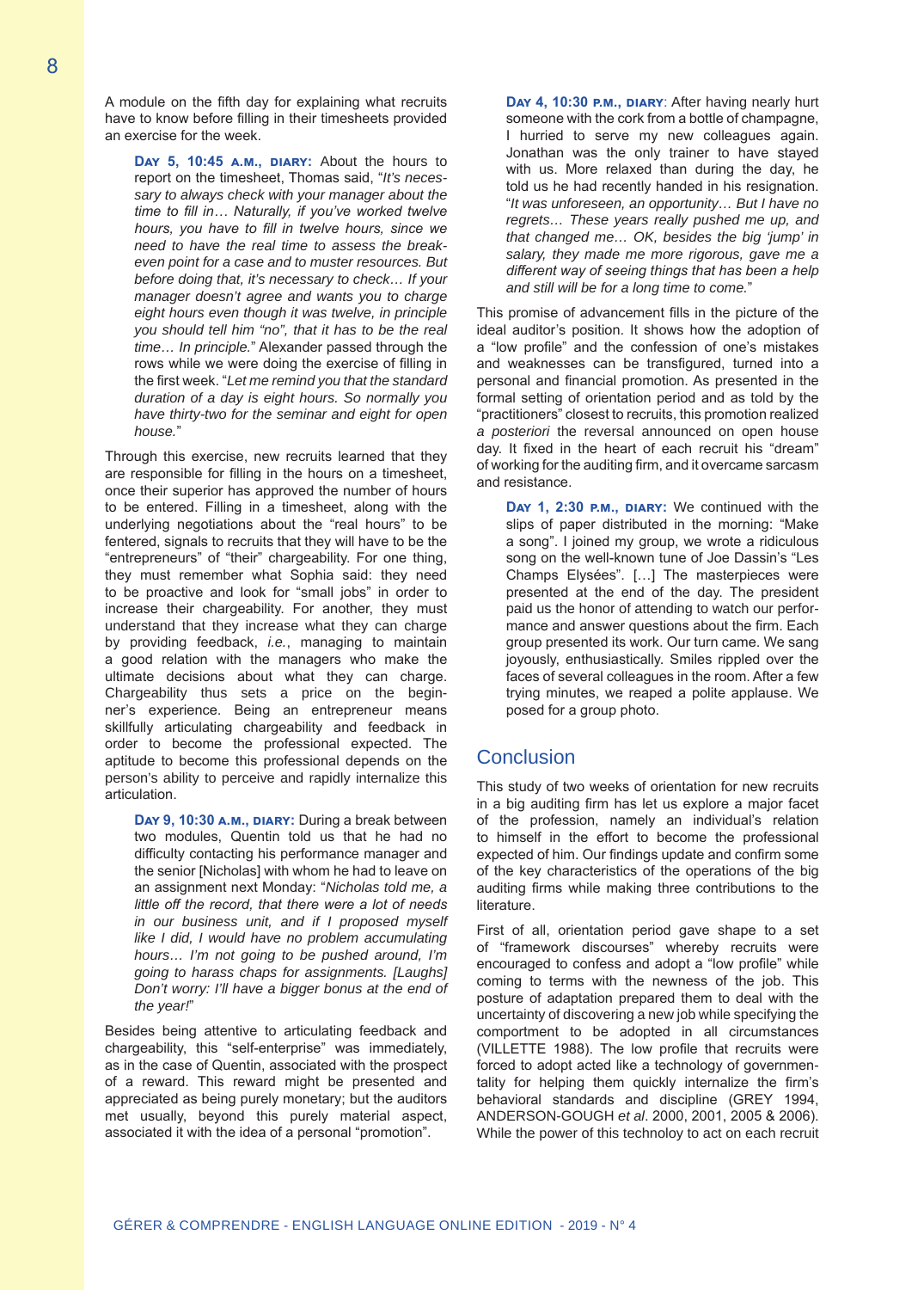A module on the fifth day for explaining what recruits have to know before filling in their timesheets provided an exercise for the week.

**Day 5, 10:45 a.m., diary:** About the hours to report on the timesheet, Thomas said, "*It's necessary to always check with your manager about the time to fill in… Naturally, if you've worked twelve hours, you have to fill in twelve hours, since we need to have the real time to assess the breakeven point for a case and to muster resources. But before doing that, it's necessary to check… If your manager doesn't agree and wants you to charge eight hours even though it was twelve, in principle you should tell him "no", that it has to be the real time… In principle.*" Alexander passed through the rows while we were doing the exercise of filling in the first week. "*Let me remind you that the standard duration of a day is eight hours. So normally you have thirty-two for the seminar and eight for open house.*"

Through this exercise, new recruits learned that they are responsible for filling in the hours on a timesheet, once their superior has approved the number of hours to be entered. Filling in a timesheet, along with the underlying negotiations about the "real hours" to be fentered, signals to recruits that they will have to be the "entrepreneurs" of "their" chargeability. For one thing, they must remember what Sophia said: they need to be proactive and look for "small jobs" in order to increase their chargeability. For another, they must understand that they increase what they can charge by providing feedback, *i.e.*, managing to maintain a good relation with the managers who make the ultimate decisions about what they can charge. Chargeability thus sets a price on the beginner's experience. Being an entrepreneur means skillfully articulating chargeability and feedback in order to become the professional expected. The aptitude to become this professional depends on the person's ability to perceive and rapidly internalize this articulation.

**Day 9, 10:30 a.m., diary:** During a break between two modules, Quentin told us that he had no difficulty contacting his performance manager and the senior [Nicholas] with whom he had to leave on an assignment next Monday: "*Nicholas told me, a little off the record, that there were a lot of needs in our business unit, and if I proposed myself like I did, I would have no problem accumulating hours… I'm not going to be pushed around, I'm going to harass chaps for assignments. [Laughs] Don't worry: I'll have a bigger bonus at the end of the year!*"

Besides being attentive to articulating feedback and chargeability, this "self-enterprise" was immediately, as in the case of Quentin, associated with the prospect of a reward. This reward might be presented and appreciated as being purely monetary; but the auditors met usually, beyond this purely material aspect, associated it with the idea of a personal "promotion".

**Day 4, 10:30 P.M., DIARY:** After having nearly hurt someone with the cork from a bottle of champagne, I hurried to serve my new colleagues again. Jonathan was the only trainer to have stayed with us. More relaxed than during the day, he told us he had recently handed in his resignation. "*It was unforeseen, an opportunity… But I have no regrets… These years really pushed me up, and that changed me… OK, besides the big 'jump' in salary, they made me more rigorous, gave me a different way of seeing things that has been a help and still will be for a long time to come.*"

This promise of advancement fills in the picture of the ideal auditor's position. It shows how the adoption of a "low profile" and the confession of one's mistakes and weaknesses can be transfigured, turned into a personal and financial promotion. As presented in the formal setting of orientation period and as told by the "practitioners" closest to recruits, this promotion realized *a posteriori* the reversal announced on open house day. It fixed in the heart of each recruit his "dream" of working for the auditing firm, and it overcame sarcasm and resistance.

Day 1, 2:30 P.M., DIARY: We continued with the slips of paper distributed in the morning: "Make a song". I joined my group, we wrote a ridiculous song on the well-known tune of Joe Dassin's "Les Champs Elysées". […] The masterpieces were presented at the end of the day. The president paid us the honor of attending to watch our performance and answer questions about the firm. Each group presented its work. Our turn came. We sang joyously, enthusiastically. Smiles rippled over the faces of several colleagues in the room. After a few trying minutes, we reaped a polite applause. We posed for a group photo.

#### **Conclusion**

This study of two weeks of orientation for new recruits in a big auditing firm has let us explore a major facet of the profession, namely an individual's relation to himself in the effort to become the professional expected of him. Our findings update and confirm some of the key characteristics of the operations of the big auditing firms while making three contributions to the literature.

First of all, orientation period gave shape to a set of "framework discourses" whereby recruits were encouraged to confess and adopt a "low profile" while coming to terms with the newness of the job. This posture of adaptation prepared them to deal with the uncertainty of discovering a new job while specifying the comportment to be adopted in all circumstances (VILLETTE 1988). The low profile that recruits were forced to adopt acted like a technology of governmentality for helping them quickly internalize the firm's behavioral standards and discipline (GREY 1994, ANDERSON-GOUGH *et al*. 2000, 2001, 2005 & 2006). While the power of this technoloy to act on each recruit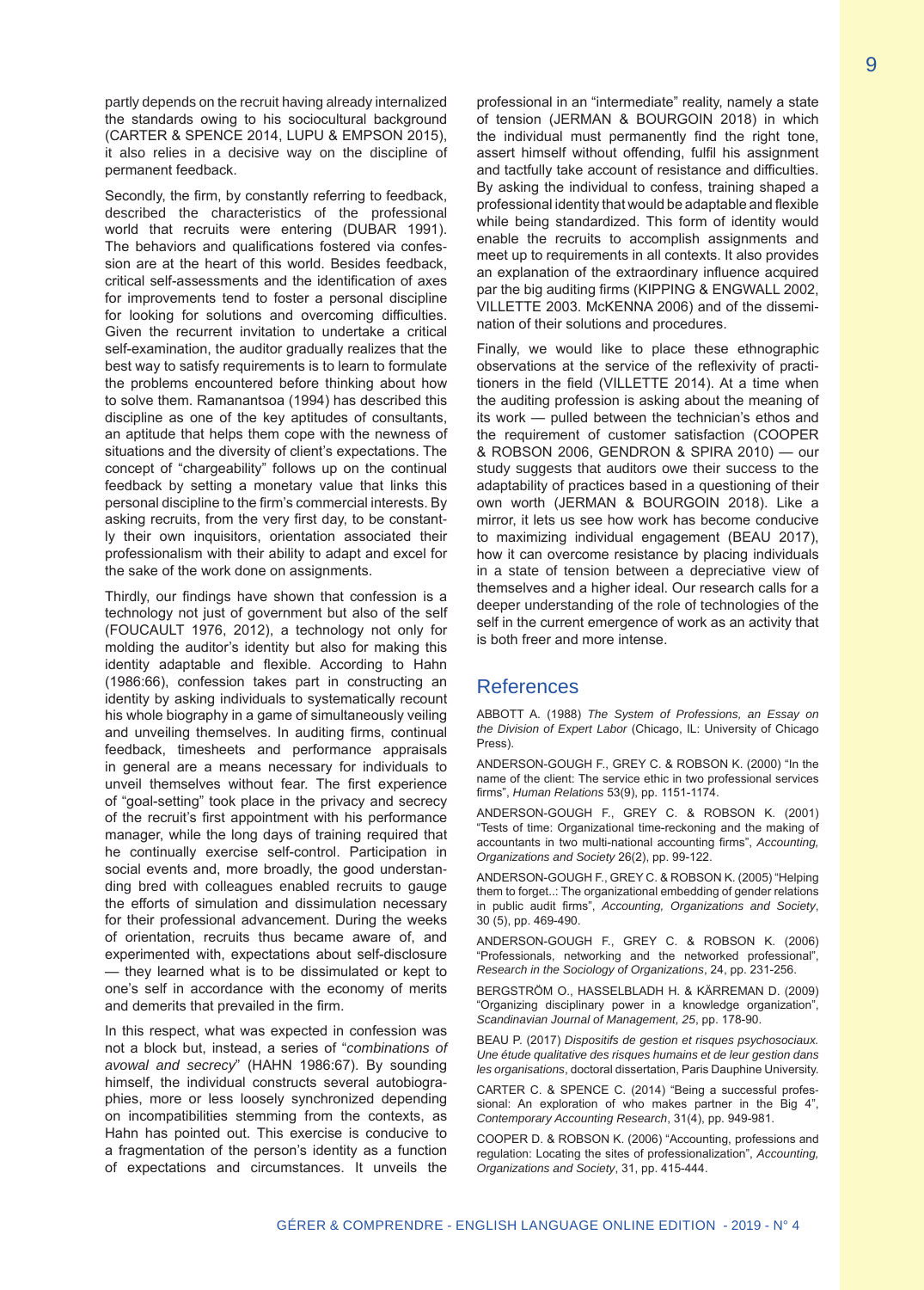partly depends on the recruit having already internalized the standards owing to his sociocultural background (CARTER & SPENCE 2014, LUPU & EMPSON 2015), it also relies in a decisive way on the discipline of permanent feedback.

Secondly, the firm, by constantly referring to feedback, described the characteristics of the professional world that recruits were entering (DUBAR 1991). The behaviors and qualifications fostered via confession are at the heart of this world. Besides feedback, critical self-assessments and the identification of axes for improvements tend to foster a personal discipline for looking for solutions and overcoming difficulties. Given the recurrent invitation to undertake a critical self-examination, the auditor gradually realizes that the best way to satisfy requirements is to learn to formulate the problems encountered before thinking about how to solve them. Ramanantsoa (1994) has described this discipline as one of the key aptitudes of consultants, an aptitude that helps them cope with the newness of situations and the diversity of client's expectations. The concept of "chargeability" follows up on the continual feedback by setting a monetary value that links this personal discipline to the firm's commercial interests. By asking recruits, from the very first day, to be constantly their own inquisitors, orientation associated their professionalism with their ability to adapt and excel for the sake of the work done on assignments.

Thirdly, our findings have shown that confession is a technology not just of government but also of the self (FOUCAULT 1976, 2012), a technology not only for molding the auditor's identity but also for making this identity adaptable and flexible. According to Hahn (1986:66), confession takes part in constructing an identity by asking individuals to systematically recount his whole biography in a game of simultaneously veiling and unveiling themselves. In auditing firms, continual feedback, timesheets and performance appraisals in general are a means necessary for individuals to unveil themselves without fear. The first experience of "goal-setting" took place in the privacy and secrecy of the recruit's first appointment with his performance manager, while the long days of training required that he continually exercise self-control. Participation in social events and, more broadly, the good understanding bred with colleagues enabled recruits to gauge the efforts of simulation and dissimulation necessary for their professional advancement. During the weeks of orientation, recruits thus became aware of, and experimented with, expectations about self-disclosure — they learned what is to be dissimulated or kept to one's self in accordance with the economy of merits and demerits that prevailed in the firm.

In this respect, what was expected in confession was not a block but, instead, a series of "*combinations of avowal and secrecy*" (HAHN 1986:67). By sounding himself, the individual constructs several autobiographies, more or less loosely synchronized depending on incompatibilities stemming from the contexts, as Hahn has pointed out. This exercise is conducive to a fragmentation of the person's identity as a function of expectations and circumstances. It unveils the professional in an "intermediate" reality, namely a state of tension (JERMAN & BOURGOIN 2018) in which the individual must permanently find the right tone, assert himself without offending, fulfil his assignment and tactfully take account of resistance and difficulties. By asking the individual to confess, training shaped a professional identity that would be adaptable and flexible while being standardized. This form of identity would enable the recruits to accomplish assignments and meet up to requirements in all contexts. It also provides an explanation of the extraordinary influence acquired par the big auditing firms (KIPPING & ENGWALL 2002, VILLETTE 2003. McKENNA 2006) and of the dissemination of their solutions and procedures.

Finally, we would like to place these ethnographic observations at the service of the reflexivity of practitioners in the field (VILLETTE 2014). At a time when the auditing profession is asking about the meaning of its work — pulled between the technician's ethos and the requirement of customer satisfaction (COOPER & ROBSON 2006, GENDRON & SPIRA 2010) — our study suggests that auditors owe their success to the adaptability of practices based in a questioning of their own worth (JERMAN & BOURGOIN 2018). Like a mirror, it lets us see how work has become conducive to maximizing individual engagement (BEAU 2017), how it can overcome resistance by placing individuals in a state of tension between a depreciative view of themselves and a higher ideal. Our research calls for a deeper understanding of the role of technologies of the self in the current emergence of work as an activity that is both freer and more intense.

#### References

ABBOTT A. (1988) *The System of Professions, an Essay on the Division of Expert Labor* (Chicago, IL: University of Chicago Press).

ANDERSON-GOUGH F., GREY C. & ROBSON K. (2000) "In the name of the client: The service ethic in two professional services firms", *Human Relations* 53(9), pp. 1151-1174.

ANDERSON-GOUGH F., GREY C. & ROBSON K. (2001) "Tests of time: Organizational time-reckoning and the making of accountants in two multi-national accounting firms", *Accounting, Organizations and Society* 26(2), pp. 99-122.

ANDERSON-GOUGH F., GREY C. & ROBSON K. (2005) "Helping them to forget..: The organizational embedding of gender relations in public audit firms", *Accounting, Organizations and Society*, 30 (5), pp. 469-490.

ANDERSON-GOUGH F., GREY C. & ROBSON K. (2006) "Professionals, networking and the networked professional", *Research in the Sociology of Organizations*, 24, pp. 231-256.

BERGSTRÖM O., HASSELBLADH H. & KÄRREMAN D. (2009) "Organizing disciplinary power in a knowledge organization", *Scandinavian Journal of Management, 25*, pp. 178-90.

BEAU P. (2017) *Dispositifs de gestion et risques psychosociaux. Une étude qualitative des risques humains et de leur gestion dans les organisations*, doctoral dissertation, Paris Dauphine University.

CARTER C. & SPENCE C. (2014) "Being a successful professional: An exploration of who makes partner in the Big 4", *Contemporary Accounting Research*, 31(4), pp. 949-981.

COOPER D. & ROBSON K. (2006) "Accounting, professions and regulation: Locating the sites of professionalization", *Accounting, Organizations and Society*, 31, pp. 415-444.